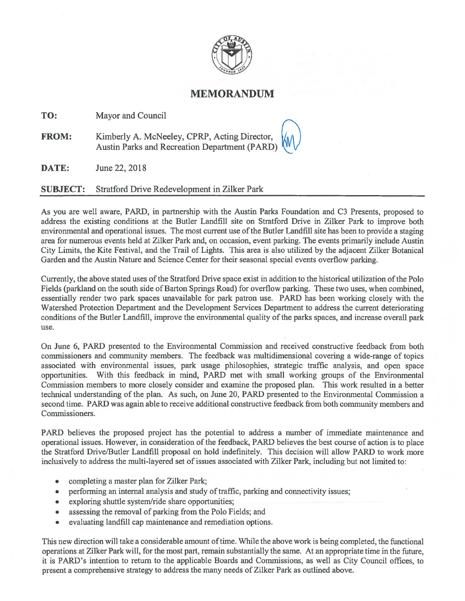

## **MEMORANDUM**

**TO:** Mayor and Council

**FROM:** Kimberly A. McNeeley, CPRP, Acting Director, Austin Parks and Recreation Department (PARD)

**DATE:** June 22,2018

## **SUBJECT:** Stratford Drive Redevelopment in Zilker Park

As you are well aware, PARD, in partnership with the Austin Parks Foundation and C3 Presents, proposed to address the existing conditions at the Butler Landfill site on Stratford Drive in Zilker Park to improve both environmental and operational issues. The most current use of the Butler Landfill site has been to provide a staging area for numerous events held at Zilker Park and, on occasion, event parking. The events primarily include Austin City Limits, the Kite Festival, and the Trail of Lights. This area is also utilized by the adjacent Zilker Botanical Garden and the Austin Nature and Science Center for their seasonal special events overflow parking.

Currently, the above stated uses of the Stratford Drive space exist in addition to the historical utilization of the Polo Fields (parkland on the south side of Barton Springs Road) for overflow parking. These two uses, when combined, essentially render two park spaces unavailable for park patron use. PARD has been working closely with the Watershed Protection Department and the Development Services Department to address the current deteriorating conditions of the Butler Landfill, improve the environmental quality of the parks spaces, and increase overall park use.

On June 6, PARD presented to the Environmental Commission and received constructive feedback from both commissioners and community members. The feedback was multidimensional covering a wide-range of topics associated with environmental issues, park usage philosophies, strategic traffic analysis, and open space opportunities. With this feedback in mind, PARD met with small working groups of the Environmental Commission members to more closely consider and examine the proposed plan. This work resulted in a better technical understanding of the plan. As such, on June 20, PARD presented to the Environmental Commission a second time. PARD was again able to receive additional constructive feedback from both community members and Commissioners.

PARD believes the proposed project has the potential to address a number of immediate maintenance and operational issues. However, in consideration of the feedback, PARD believes the best course of action is to place the Stratford Drive/Butler Landfill proposal on hold indefinitely. This decision will allow PARD to work more inclusively to address the multi-layered set of issues associated with Zilker Park, including but not limited to:

- completing a master plan for Zilker Park;
- performing an internal analysis and study of traffic, parking and connectivity issues;
- exploring shuttle system/ride share opportunities;
- assessing the removal of parking from the Polo Fields; and
- evaluating landfill cap maintenance and remediation options.

This new direction will take a considerable amount of time. While the above work is being completed, the functional operations at Zilker Park will, for the most part, remain substantially the same. At an appropriate time in the future, it is PARD's intention to return to the applicable Boards and Commissions, as well as City Council offices, to present a comprehensive strategy to address the many needs of Zilker Park as outlined above.